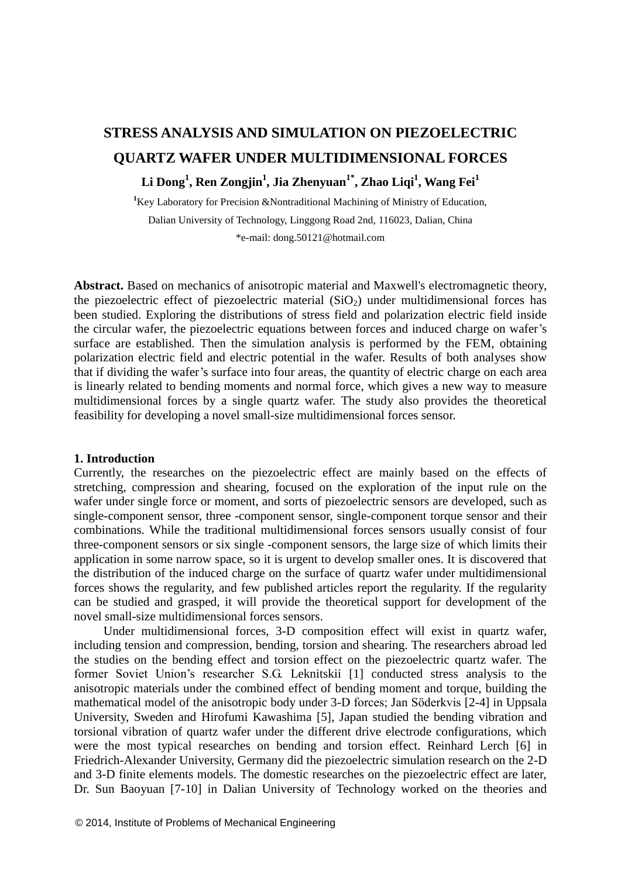# **STRESS ANALYSIS AND SIMULATION ON PIEZOELECTRIC QUARTZ WAFER UNDER MULTIDIMENSIONAL FORCES**

# **Li Dong<sup>1</sup> , Ren Zongjin<sup>1</sup> , Jia Zhenyuan1\* , Zhao Liqi<sup>1</sup> , Wang Fei<sup>1</sup>**

<sup>1</sup>Key Laboratory for Precision &Nontraditional Machining of Ministry of Education, Dalian University of Technology, Linggong Road 2nd, 116023, Dalian, China \*e-mail: dong.50121@hotmail.com

**Abstract.** Based on mechanics of anisotropic material and Maxwell's electromagnetic theory, the piezoelectric effect of piezoelectric material  $(SiO<sub>2</sub>)$  under multidimensional forces has been studied. Exploring the distributions of stress field and polarization electric field inside the circular wafer, the piezoelectric equations between forces and induced charge on wafer's surface are established. Then the simulation analysis is performed by the FEM, obtaining polarization electric field and electric potential in the wafer. Results of both analyses show that if dividing the wafer's surface into four areas, the quantity of electric charge on each area is linearly related to bending moments and normal force, which gives a new way to measure multidimensional forces by a single quartz wafer. The study also provides the theoretical feasibility for developing a novel small-size multidimensional forces sensor.

#### **1. Introduction**

Currently, the researches on the piezoelectric effect are mainly based on the effects of stretching, compression and shearing, focused on the exploration of the input rule on the wafer under single force or moment, and sorts of piezoelectric sensors are developed, such as single-component sensor, three -component sensor, single-component torque sensor and their combinations. While the traditional multidimensional forces sensors usually consist of four three-component sensors or six single -component sensors, the large size of which limits their application in some narrow space, so it is urgent to develop smaller ones. It is discovered that the distribution of the induced charge on the surface of quartz wafer under multidimensional forces shows the regularity, and few published articles report the regularity. If the regularity can be studied and grasped, it will provide the theoretical support for development of the novel small-size multidimensional forces sensors.

Under multidimensional forces, 3-D composition effect will exist in quartz wafer, including tension and compression, bending, torsion and shearing. The researchers abroad led the studies on the bending effect and torsion effect on the piezoelectric quartz wafer. The former Soviet Union's researcher S.G. Leknitskii [1] conducted stress analysis to the anisotropic materials under the combined effect of bending moment and torque, building the mathematical model of the anisotropic body under 3-D forces; Jan Söderkvis [2-4] in Uppsala University, Sweden and Hirofumi Kawashima [5], Japan studied the bending vibration and torsional vibration of quartz wafer under the different drive electrode configurations, which were the most typical researches on bending and torsion effect. Reinhard Lerch [6] in Friedrich-Alexander University, Germany did the piezoelectric simulation research on the 2-D and 3-D finite elements models. The domestic researches on the piezoelectric effect are later, Dr. Sun Baoyuan [7-10] in Dalian University of Technology worked on the theories and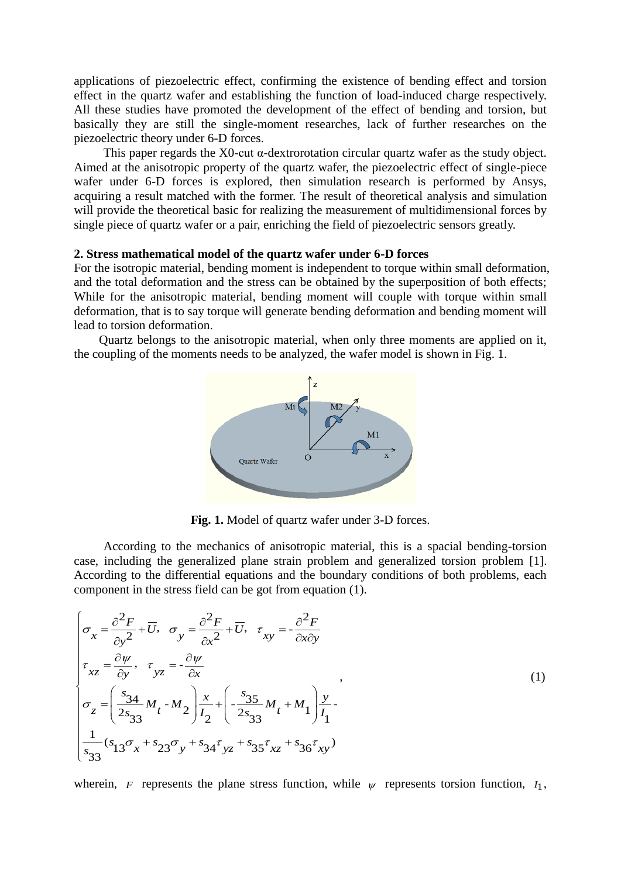applications of piezoelectric effect, confirming the existence of bending effect and torsion effect in the quartz wafer and establishing the function of load-induced charge respectively. All these studies have promoted the development of the effect of bending and torsion, but basically they are still the single-moment researches, lack of further researches on the piezoelectric theory under 6-D forces.

This paper regards the X0-cut α-dextrorotation circular quartz wafer as the study object. Aimed at the anisotropic property of the quartz wafer, the piezoelectric effect of single-piece wafer under 6-D forces is explored, then simulation research is performed by Ansys, acquiring a result matched with the former. The result of theoretical analysis and simulation will provide the theoretical basic for realizing the measurement of multidimensional forces by single piece of quartz wafer or a pair, enriching the field of piezoelectric sensors greatly.

#### **2. Stress mathematical model of the quartz wafer under 6-D forces**

For the isotropic material, bending moment is independent to torque within small deformation, and the total deformation and the stress can be obtained by the superposition of both effects; While for the anisotropic material, bending moment will couple with torque within small deformation, that is to say torque will generate bending deformation and bending moment will lead to torsion deformation.

Quartz belongs to the anisotropic material, when only three moments are applied on it, the coupling of the moments needs to be analyzed, the wafer model is shown in Fig. 1.



**Fig. 1.** Model of quartz wafer under 3-D forces.

According to the mechanics of anisotropic material, this is a spacial bending-torsion case, including the generalized plane strain problem and generalized torsion problem [1]. According to the differential equations and the boundary conditions of both problems, each

component in the stress field can be got from equation (1).  
\n
$$
\begin{aligned}\n\sigma_x &= \frac{\partial^2 F}{\partial y^2} + \overline{U}, \quad \sigma_y = \frac{\partial^2 F}{\partial x^2} + \overline{U}, \quad \tau_{xy} = -\frac{\partial^2 F}{\partial x \partial y} \\
\tau_{xz} &= \frac{\partial \psi}{\partial y}, \quad \tau_{yz} = -\frac{\partial \psi}{\partial x} \\
\sigma_z &= \left(\frac{s_{34}}{2s_{33}} M_t - M_2\right) \frac{x}{I_2} + \left(-\frac{s_{35}}{2s_{33}} M_t + M_1\right) \frac{y}{I_1} - \frac{1}{s_{33}}(s_{13}\sigma_x + s_{23}\sigma_y + s_{34}\tau_{yz} + s_{35}\tau_{xz} + s_{36}\tau_{xy})\n\end{aligned}
$$
\n(1)

wherein, *F* represents the plane stress function, while  $\psi$  represents torsion function,  $I_1$ ,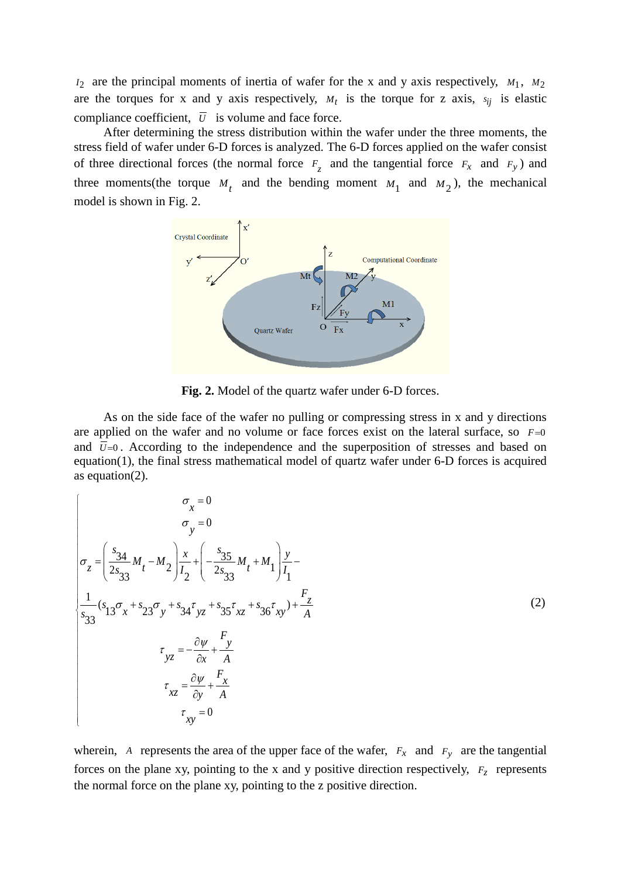$N_2$  are the principal moments of inertia of wafer for the x and y axis respectively,  $M_1$ ,  $M_2$ are the torques for x and y axis respectively,  $M_t$  is the torque for z axis,  $s_{ij}$  is elastic compliance coefficient,  $\overline{U}$  is volume and face force.

After determining the stress distribution within the wafer under the three moments, the stress field of wafer under 6-D forces is analyzed. The 6-D forces applied on the wafer consist of three directional forces (the normal force  $F_z$  and the tangential force  $F_x$  and  $F_y$ ) and three moments (the torque  $M_t$  and the bending moment  $M_1$  and  $M_2$ ), the mechanical model is shown in Fig. 2.



**Fig. 2.** Model of the quartz wafer under 6-D forces.

As on the side face of the wafer no pulling or compressing stress in x and y directions are applied on the wafer and no volume or face forces exist on the lateral surface, so  $F=0$ and  $\overline{U}=0$ . According to the independence and the superposition of stresses and based on equation(1), the final stress mathematical model of quartz wafer under 6-D forces is acquired as equation(2).

$$
\sigma_x = 0
$$
\n
$$
\sigma_y = 0
$$
\n
$$
\sigma_y = 0
$$
\n
$$
\sigma_z = \left(\frac{s_{34}}{2s_{33}}M_t - M_2\right)\frac{x}{I_2} + \left(-\frac{s_{35}}{2s_{33}}M_t + M_1\right)\frac{y}{I_1} - \frac{1}{s_{33}}(s_{13}\sigma_x + s_{23}\sigma_y + s_{34}\sigma_{yz} + s_{35}\sigma_{xz} + s_{36}\sigma_{xy}) + \frac{F_z}{A}
$$
\n
$$
\sigma_{yz} = -\frac{\partial \psi}{\partial x} + \frac{F_y}{A}
$$
\n
$$
\sigma_{xz} = \frac{\partial \psi}{\partial y} + \frac{F_x}{A}
$$
\n
$$
\sigma_{xy} = 0
$$
\n(2)

wherein, A represents the area of the upper face of the wafer,  $F_x$  and  $F_y$  are the tangential forces on the plane xy, pointing to the x and y positive direction respectively,  $F<sub>z</sub>$  represents the normal force on the plane xy, pointing to the z positive direction.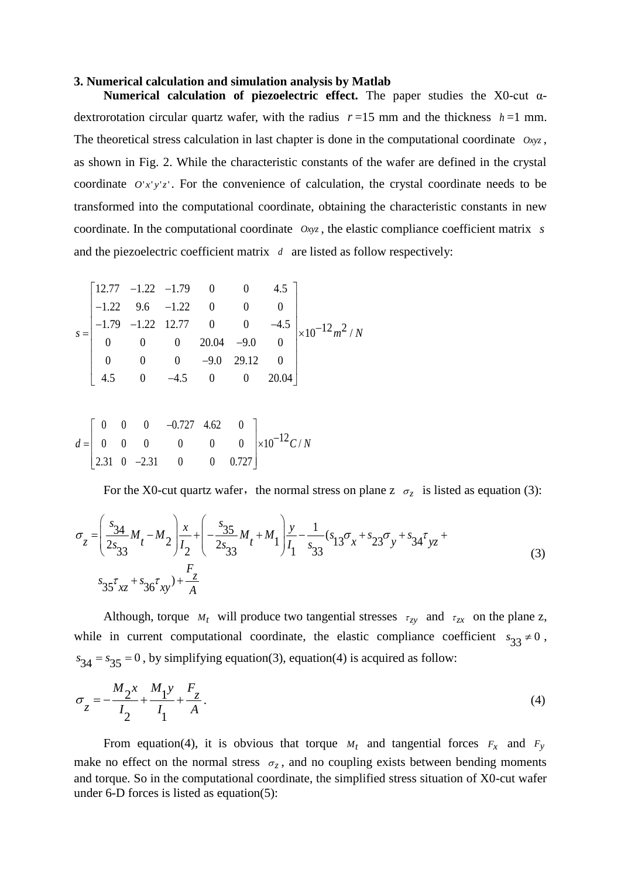#### **3. Numerical calculation and simulation analysis by Matlab**

**Numerical calculation of piezoelectric effect.** The paper studies the X0-cut αdextrorotation circular quartz wafer, with the radius  $r=15$  mm and the thickness  $h=1$  mm. The theoretical stress calculation in last chapter is done in the computational coordinate  $Oxyz$ , as shown in Fig. 2. While the characteristic constants of the wafer are defined in the crystal coordinate  $O'x'y'z'$ . For the convenience of calculation, the crystal coordinate needs to be transformed into the computational coordinate, obtaining the characteristic constants in new coordinate. In the computational coordinate *Oxyz* , the elastic compliance coefficient matrix *s* and the piezoelectric coefficient matrix *d* are listed as follow respectively:

and the prezoercut coefficient matrix *a* are listed as 10.  
\n
$$
s = \begin{bmatrix}\n12.77 & -1.22 & -1.79 & 0 & 0 & 4.5 \\
-1.22 & 9.6 & -1.22 & 0 & 0 & 0 \\
-1.79 & -1.22 & 12.77 & 0 & 0 & -4.5 \\
0 & 0 & 0 & 20.04 & -9.0 & 0 \\
0 & 0 & 0 & -9.0 & 29.12 & 0 \\
4.5 & 0 & -4.5 & 0 & 0 & 20.04\n\end{bmatrix} \times 10^{-12} m^2 / N
$$

$$
d = \begin{bmatrix} 0 & 0 & 0 & -0.727 & 4.62 & 0 \\ 0 & 0 & 0 & 0 & 0 & 0 \\ 2.31 & 0 & -2.31 & 0 & 0 & 0.727 \end{bmatrix} \times 10^{-12} C/N
$$

For the X0-cut quartz water, the normal stress on plane z 
$$
\sigma_z
$$
 is listed as equation (3):  
\n
$$
\sigma_z = \left(\frac{s_{34}}{2s_{33}}M_t - M_2\right)\frac{x}{I_2} + \left(-\frac{s_{35}}{2s_{33}}M_t + M_1\right)\frac{y}{I_1} - \frac{1}{s_{33}}(s_{13}\sigma_x + s_{23}\sigma_y + s_{34}\sigma_{yz} + s_{35}\sigma_{xz} + s_{36}\sigma_{xy}) + \frac{F_z}{A}
$$
\n(3)

Although, torque  $M_t$  will produce two tangential stresses  $\tau_{zy}$  and  $\tau_{zx}$  on the plane z, while in current computational coordinate, the elastic compliance coefficient  $s_{33} \neq 0$ ,  $s_{34} = s_{35} = 0$ , by simplifying equation(3), equation(4) is acquired as follow:

$$
\sigma_{z} = -\frac{M_{2}x}{I_{2}} + \frac{M_{1}y}{I_{1}} + \frac{F_{z}}{A}.
$$
\n(4)

From equation(4), it is obvious that torque  $M_t$  and tangential forces  $F_x$  and  $F_y$ make no effect on the normal stress  $\sigma_z$ , and no coupling exists between bending moments and torque. So in the computational coordinate, the simplified stress situation of X0-cut wafer under 6-D forces is listed as equation(5):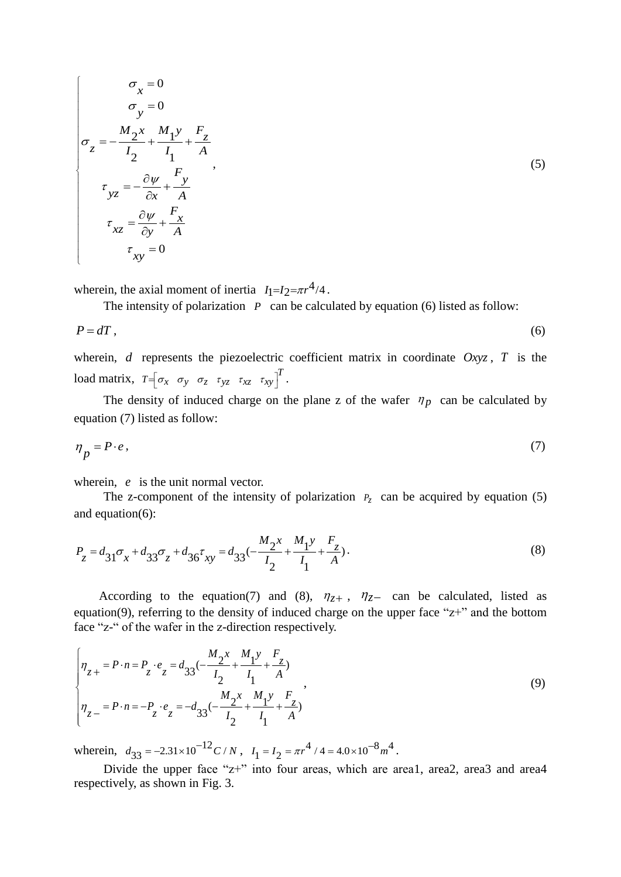$$
\sigma_x = 0
$$
\n
$$
\sigma_y = 0
$$
\n
$$
\sigma_z = -\frac{M_2 x}{I_2} + \frac{M_1 y}{I_1} + \frac{F_z}{A}
$$
\n
$$
\tau_{yz} = -\frac{\partial \psi}{\partial x} + \frac{F_y}{A}
$$
\n
$$
\tau_{xz} = \frac{\partial \psi}{\partial y} + \frac{F_x}{A}
$$
\n
$$
\tau_{xy} = 0
$$
\n(5)

wherein, the axial moment of inertia  $I_1 = I_2 = \pi r^4/4$ .

The intensity of polarization  $P$  can be calculated by equation (6) listed as follow:

$$
P = dT, \tag{6}
$$

wherein,  $d$  represents the piezoelectric coefficient matrix in coordinate  $Oxyz$ ,  $T$  is the load matrix,  $T = \begin{bmatrix} \sigma_x & \sigma_y & \sigma_z & \tau_{yz} & \tau_{xz} & \tau_{xy} \end{bmatrix}^T$ .

The density of induced charge on the plane z of the wafer  $\eta_p$  can be calculated by equation (7) listed as follow:

$$
\eta_p = P \cdot e \,,\tag{7}
$$

wherein, e is the unit normal vector.

The z-component of the intensity of polarization  $P_z$  can be acquired by equation (5) and equation(6):

and equation(6):  
\n
$$
P_z = d_{31}\sigma_x + d_{33}\sigma_z + d_{36}\sigma_{xy} = d_{33}(-\frac{M_2x}{I_2} + \frac{M_1y}{I_1} + \frac{F_z}{A}).
$$
\n(8)

According to the equation(7) and (8),  $\eta_{z+}$ ,  $\eta_{z-}$  can be calculated, listed as equation(9), referring to the density of induced charge on the upper face " $z+$ " and the bottom

face "z-" of the wafter in the z-direction respectively.  
\n
$$
\begin{cases}\n\eta_{z+} = P \cdot n = P_z \cdot e_z = d_{33}(-\frac{M_2 x}{I_2} + \frac{M_1 y}{I_1} + \frac{F_z}{A}) \\
\eta_{z-} = P \cdot n = -P_z \cdot e_z = -d_{33}(-\frac{M_2 x}{I_2} + \frac{M_1 y}{I_1} + \frac{F_z}{A})\n\end{cases}
$$
\n(9)

wherein,  $d_{33} = -2.31 \times 10^{-12} C/N$ ,  $I_1 = I_2 = \pi r^4 / 4 = 4.0 \times 10^{-8} m^4$ .

Divide the upper face "z+" into four areas, which are area1, area2, area3 and area4 respectively, as shown in Fig. 3.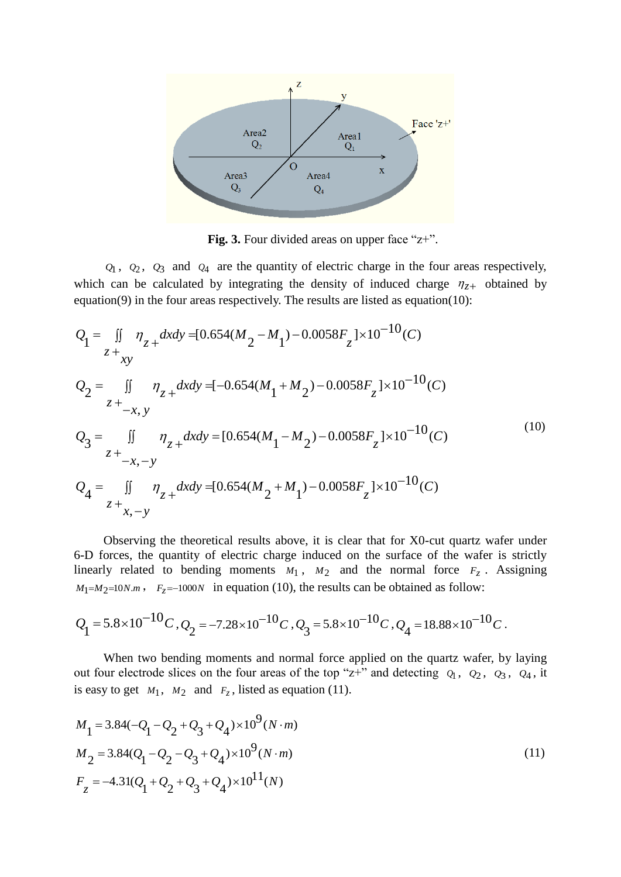

**Fig.** 3. Four divided areas on upper face "z+".

 $Q_1$ ,  $Q_2$ ,  $Q_3$  and  $Q_4$  are the quantity of electric charge in the four areas respectively, which can be calculated by integrating the density of induced charge  $\eta_{z+}$  obtained by

equation(9) in the four areas respectively. The results are listed as equation(10):  
\n
$$
Q_1 = \iint_{z+xy} \eta_z + dxdy = [0.654(M_2 - M_1) - 0.0058F_z] \times 10^{-10} (C)
$$
\n
$$
Q_2 = \iint_{z+{-x,y}} \eta_z + dxdy = [-0.654(M_1 + M_2) - 0.0058F_z] \times 10^{-10} (C)
$$
\n
$$
Q_3 = \iint_{z+{-x,y}} \eta_z + dxdy = [0.654(M_1 - M_2) - 0.0058F_z] \times 10^{-10} (C)
$$
\n
$$
Q_4 = \iint_{z+{x,-y}} \eta_z + dxdy = [0.654(M_2 + M_1) - 0.0058F_z] \times 10^{-10} (C)
$$
\n(10)

Observing the theoretical results above, it is clear that for X0-cut quartz wafer under 6-D forces, the quantity of electric charge induced on the surface of the wafer is strictly linearly related to bending moments  $M_1$ ,  $M_2$  and the normal force  $F_z$ . Assigning  $M_1=M_2=10N \cdot m$ ,  $F_z=-1000N$  in equation (10), the results can be obtained as follow:

$$
Q_1 = 5.8 \times 10^{-10} C, Q_2 = -7.28 \times 10^{-10} C, Q_3 = 5.8 \times 10^{-10} C, Q_4 = 18.88 \times 10^{-10} C.
$$

When two bending moments and normal force applied on the quartz wafer, by laying out four electrode slices on the four areas of the top " $z$ +" and detecting  $Q_1$ ,  $Q_2$ ,  $Q_3$ ,  $Q_4$ , it is easy to get  $M_1$ ,  $M_2$  and  $F_z$ , listed as equation (11).

$$
M_1 = 3.84(-Q_1 - Q_2 + Q_3 + Q_4) \times 10^9 (N \cdot m)
$$
  
\n
$$
M_2 = 3.84(Q_1 - Q_2 - Q_3 + Q_4) \times 10^9 (N \cdot m)
$$
  
\n
$$
F_z = -4.31(Q_1 + Q_2 + Q_3 + Q_4) \times 10^{11} (N)
$$
\n(11)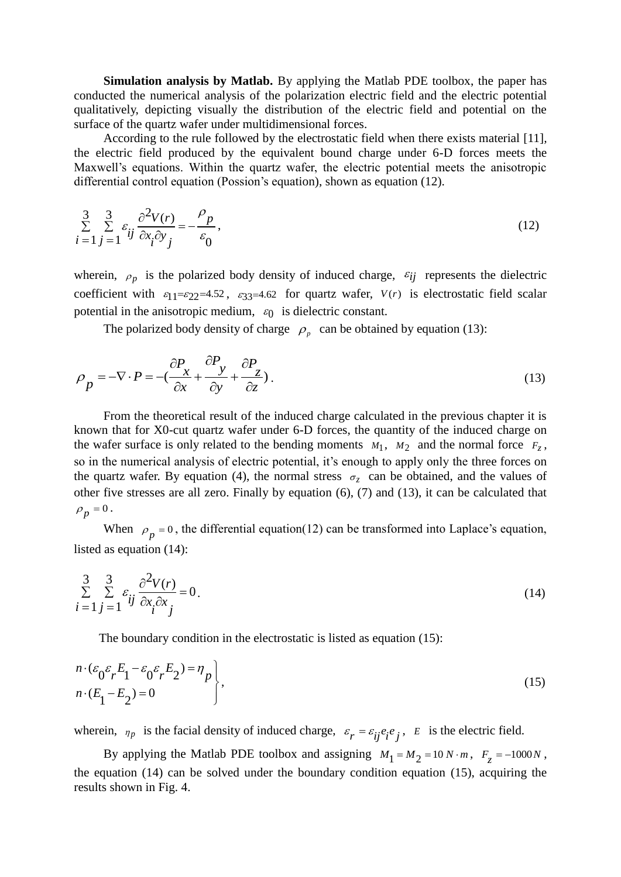**Simulation analysis by Matlab.** By applying the Matlab PDE toolbox, the paper has conducted the numerical analysis of the polarization electric field and the electric potential qualitatively, depicting visually the distribution of the electric field and potential on the surface of the quartz wafer under multidimensional forces.

According to the rule followed by the electrostatic field when there exists material [11]*,* the electric field produced by the equivalent bound charge under 6-D forces meets the Maxwell's equations. Within the quartz wafer, the electric potential meets the anisotropic differential control equation (Possion's equation), shown as equation (12).

$$
\sum_{i=1}^{3} \sum_{j=1}^{3} \varepsilon_{ij} \frac{\partial^2 V(r)}{\partial x_i \partial y_j} = -\frac{\rho_p}{\varepsilon_0},\tag{12}
$$

wherein,  $\rho_p$  is the polarized body density of induced charge,  $\varepsilon_{ij}$  represents the dielectric coefficient with  $\varepsilon_{11} = \varepsilon_{22} = 4.52$ ,  $\varepsilon_{33} = 4.62$  for quartz wafer,  $V(r)$  is electrostatic field scalar potential in the anisotropic medium,  $\varepsilon_0$  is dielectric constant.

The polarized body density of charge  $\rho_p$  can be obtained by equation (13):

$$
\rho_p = -\nabla \cdot P = -\left(\frac{\partial P_x}{\partial x} + \frac{\partial P_y}{\partial y} + \frac{\partial P_z}{\partial z}\right).
$$
\n(13)

From the theoretical result of the induced charge calculated in the previous chapter it is known that for X0-cut quartz wafer under 6-D forces, the quantity of the induced charge on the wafer surface is only related to the bending moments  $M_1$ ,  $M_2$  and the normal force  $F_z$ , so in the numerical analysis of electric potential, it's enough to apply only the three forces on the quartz wafer. By equation (4), the normal stress  $\sigma_z$  can be obtained, and the values of other five stresses are all zero. Finally by equation (6), (7) and (13), it can be calculated that  $\rho_p^0 = 0.$ 

When  $\rho_p = 0$ , the differential equation(12) can be transformed into Laplace's equation, listed as equation (14):

$$
\sum_{i=1}^{3} \sum_{j=1}^{3} \varepsilon_{ij} \frac{\partial^2 V(r)}{\partial x_i \partial x_j} = 0.
$$
\n(14)

The boundary condition in the electrostatic is listed as equation (15):

$$
n \cdot (\varepsilon_0 \varepsilon_r E_1 - \varepsilon_0 \varepsilon_r E_2) = \eta_p
$$
  
\n
$$
n \cdot (E_1 - E_2) = 0
$$
\n(15)

wherein,  $\eta_p$  is the facial density of induced charge,  $\varepsilon_r = \varepsilon_{ij} e_i e_j$ , E is the electric field.

By applying the Matlab PDE toolbox and assigning  $M_1 = M_2 = 10 N \cdot m$ ,  $F_z = -1000 N$ , the equation (14) can be solved under the boundary condition equation (15), acquiring the results shown in Fig. 4.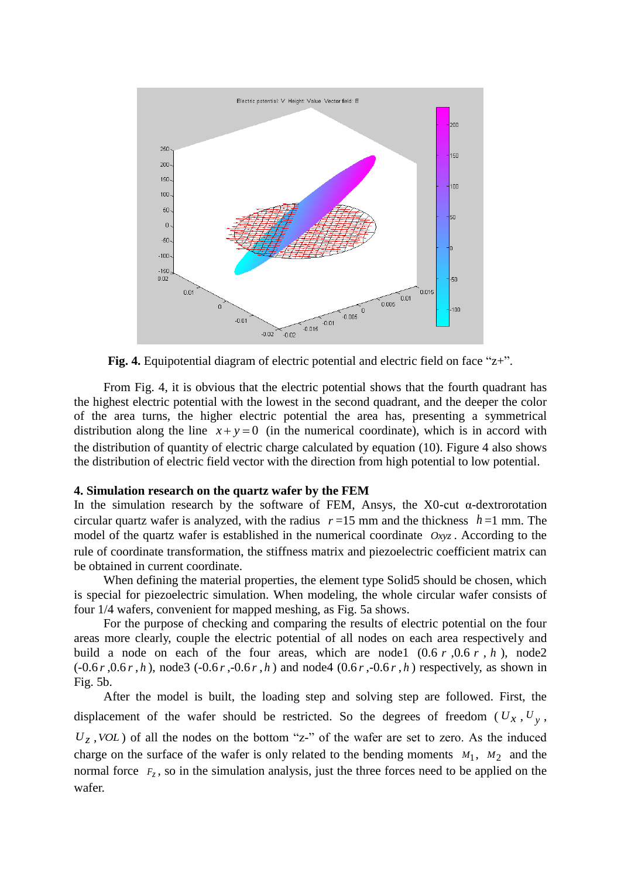

**Fig. 4.** Equipotential diagram of electric potential and electric field on face "z+".

From Fig. 4, it is obvious that the electric potential shows that the fourth quadrant has the highest electric potential with the lowest in the second quadrant, and the deeper the color of the area turns, the higher electric potential the area has, presenting a symmetrical distribution along the line  $x + y = 0$  (in the numerical coordinate), which is in accord with the distribution of quantity of electric charge calculated by equation (10). Figure 4 also shows the distribution of electric field vector with the direction from high potential to low potential.

#### **4. Simulation research on the quartz wafer by the FEM**

In the simulation research by the software of FEM, Ansys, the X0-cut  $\alpha$ -dextrorotation circular quartz wafer is analyzed, with the radius  $r=15$  mm and the thickness  $h=1$  mm. The model of the quartz wafer is established in the numerical coordinate  $Oxyz$ . According to the rule of coordinate transformation, the stiffness matrix and piezoelectric coefficient matrix can be obtained in current coordinate.

When defining the material properties, the element type Solid5 should be chosen, which is special for piezoelectric simulation. When modeling, the whole circular wafer consists of four 1/4 wafers, convenient for mapped meshing, as Fig. 5a shows.

For the purpose of checking and comparing the results of electric potential on the four areas more clearly, couple the electric potential of all nodes on each area respectively and build a node on each of the four areas, which are nodel  $(0.6 r, 0.6 r, h)$ , node2  $(-0.6r, 0.6r, h)$ , node3  $(-0.6r, -0.6r, h)$  and node4  $(0.6r, -0.6r, h)$  respectively, as shown in Fig. 5b.

After the model is built, the loading step and solving step are followed. First, the displacement of the wafer should be restricted. So the degrees of freedom  $(U_x, U_y,$  $U_z$ , *VOL*) of all the nodes on the bottom "z-" of the wafer are set to zero. As the induced charge on the surface of the wafer is only related to the bending moments  $M_1$ ,  $M_2$  and the normal force  $F_z$ , so in the simulation analysis, just the three forces need to be applied on the wafer.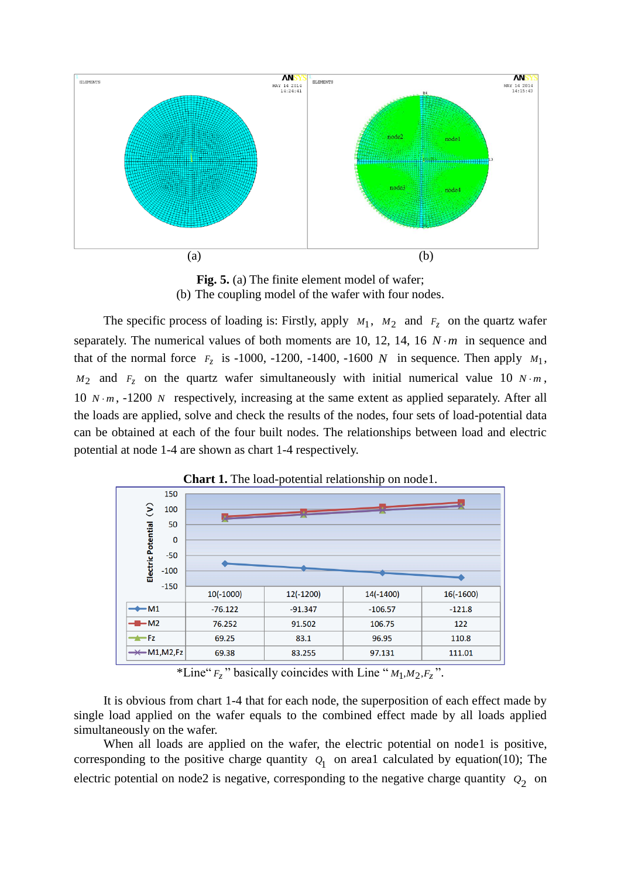

**Fig. 5.** (a) The finite element model of wafer; (b) The coupling model of the wafer with four nodes.

The specific process of loading is: Firstly, apply  $M_1$ ,  $M_2$  and  $F_z$  on the quartz wafer separately. The numerical values of both moments are 10, 12, 14, 16  $N \cdot m$  in sequence and that of the normal force  $F_z$  is -1000, -1200, -1400, -1600 N in sequence. Then apply  $M_1$ ,  $M_2$  and  $F_z$  on the quartz wafer simultaneously with initial numerical value 10  $N \cdot m$ , 10  $N \cdot m$ , -1200 N respectively, increasing at the same extent as applied separately. After all the loads are applied, solve and check the results of the nodes, four sets of load-potential data can be obtained at each of the four built nodes. The relationships between load and electric potential at node 1-4 are shown as chart 1-4 respectively.

|                                     |             |             | .<br>x<br>$ -$ |             |             |
|-------------------------------------|-------------|-------------|----------------|-------------|-------------|
|                                     | 150         |             |                |             |             |
| $\hat{\epsilon}$                    | 100         |             |                |             |             |
| Electric Potential                  | 50          |             |                |             |             |
|                                     | $\mathbf 0$ |             |                |             |             |
|                                     | $-50$       |             |                |             |             |
|                                     | $-100$      |             |                |             |             |
|                                     | $-150$      |             |                |             |             |
|                                     |             | $10(-1000)$ | 12(-1200)      | $14(-1400)$ | $16(-1600)$ |
| $\rightarrow M1$                    |             | $-76.122$   | $-91.347$      | $-106.57$   | $-121.8$    |
| $ -M2$                              |             | 76.252      | 91.502         | 106.75      | 122         |
| $-$ Fz                              |             | 69.25       | 83.1           | 96.95       | 110.8       |
| $\rightarrow \leftarrow M1, M2, Fz$ |             | 69.38       | 83.255         | 97.131      | 111.01      |

**Chart 1.** The load-potential relationship on node1.

\*Line"  $F_z$  " basically coincides with Line " $M_1, M_2, F_z$ ".

It is obvious from chart 1-4 that for each node, the superposition of each effect made by single load applied on the wafer equals to the combined effect made by all loads applied simultaneously on the wafer.

When all loads are applied on the wafer, the electric potential on node1 is positive, corresponding to the positive charge quantity  $Q_1$  on area1 calculated by equation(10); The electric potential on node2 is negative, corresponding to the negative charge quantity  $Q_2$  on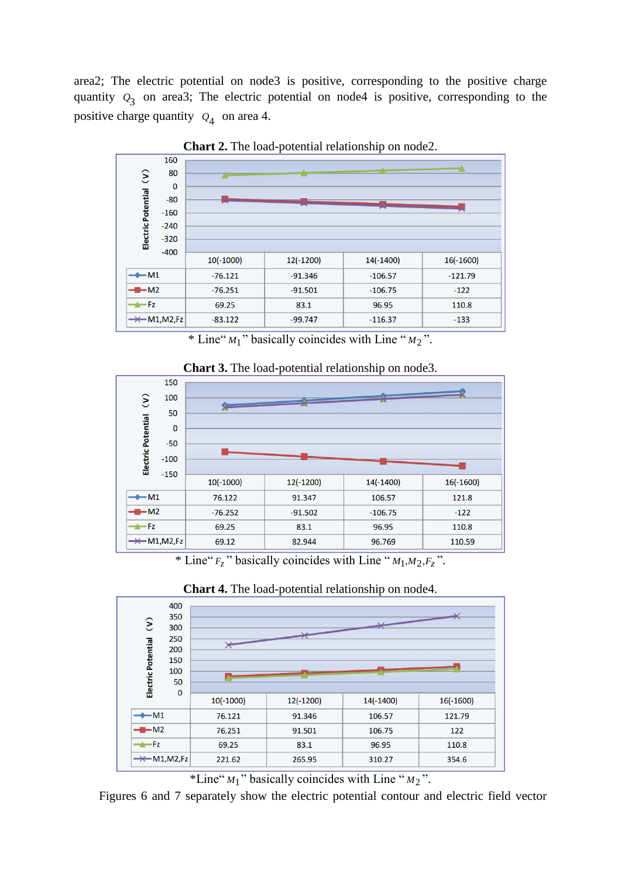area2; The electric potential on node3 is positive, corresponding to the positive charge quantity  $Q_3$  on area3; The electric potential on node4 is positive, corresponding to the positive charge quantity  $Q_4$  on area 4.



**Chart 2.** The load-potential relationship on node2.

\* Line" *M*1 " basically coincides with Line " *<sup>M</sup>*<sup>2</sup> ".



**Chart 3.** The load-potential relationship on node3.

\* Line"  $F_z$  " basically coincides with Line " $M_1, M_2, F_z$ ".



**Chart 4.** The load-potential relationship on node4.

\*Line" *M*1 " basically coincides with Line " *<sup>M</sup>*<sup>2</sup> ".

Figures 6 and 7 separately show the electric potential contour and electric field vector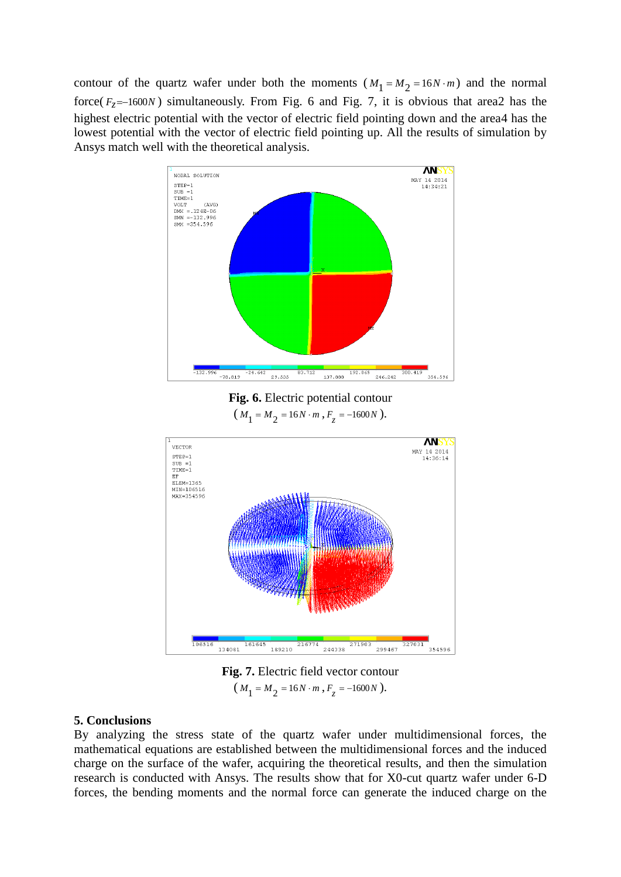contour of the quartz wafer under both the moments  $(M_1 = M_2 = 16N \cdot m)$  and the normal force( $F_z$ =-1600N) simultaneously. From Fig. 6 and Fig. 7, it is obvious that area2 has the highest electric potential with the vector of electric field pointing down and the area4 has the lowest potential with the vector of electric field pointing up. All the results of simulation by Ansys match well with the theoretical analysis.



**Fig. 6.** Electric potential contour  $(M_1 = M_2 = 16N \cdot m, F_z = -1600N).$ 



**Fig. 7.** Electric field vector contour  $(M_1 = M_2 = 16N \cdot m, F_z = -1600N).$ 

## **5. Conclusions**

By analyzing the stress state of the quartz wafer under multidimensional forces, the mathematical equations are established between the multidimensional forces and the induced charge on the surface of the wafer, acquiring the theoretical results, and then the simulation research is conducted with Ansys. The results show that for X0-cut quartz wafer under 6-D forces, the bending moments and the normal force can generate the induced charge on the